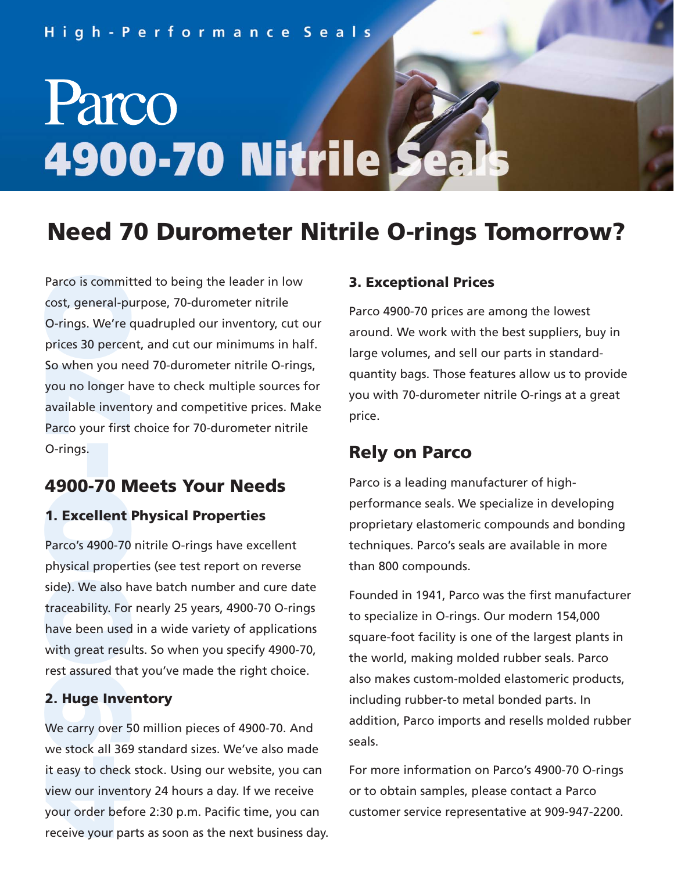#### High-Performance Seals

# Parco **4900-70 Nitrile**

### **Need 70 Durometer Nitrile O-rings Tomorrow?**

Parco is committed to being the leader in low<br>cost, general-purpose, 70-durometer nitrile<br>O-rings. We're quadrupled our inventory, cut<br>prices 30 percent, and cut our minimums in ha<br>So when you need 70-durometer nitrile O-r cost, general-purpose, 70-durometer nitrile O-rings. We're quadrupled our inventory, cut our prices 30 percent, and cut our minimums in half. So when you need 70-durometer nitrile O-rings, you no longer have to check multiple sources for available inventory and competitive prices. Make Parco your first choice for 70-durometer nitrile O-rings.

#### **4900-70 Meets Your Needs**

#### **1. Excellent Physical Properties**

Parco's 4900-70 nitrile O-rings have excellent physical properties (see test report on reverse side). We also have batch number and cure date traceability. For nearly 25 years, 4900-70 O-rings have been used in a wide variety of applications with great results. So when you specify 4900-70, rest assured that you've made the right choice.

#### **2. Huge Inventory**

We carry over 50 million pieces of 4900-70. And we stock all 369 standard sizes. We've also made it easy to check stock. Using our website, you can view our inventory 24 hours a day. If we receive your order before 2:30 p.m. Pacific time, you can receive your parts as soon as the next business day.

#### **3. Exceptional Prices**

Parco 4900-70 prices are among the lowest around. We work with the best suppliers, buy in large volumes, and sell our parts in standardquantity bags. Those features allow us to provide you with 70-durometer nitrile O-rings at a great price.

#### **Rely on Parco**

Parco is a leading manufacturer of highperformance seals. We specialize in developing proprietary elastomeric compounds and bonding techniques. Parco's seals are available in more than 800 compounds.

Founded in 1941, Parco was the first manufacturer to specialize in O-rings. Our modern 154,000 square-foot facility is one of the largest plants in the world, making molded rubber seals. Parco also makes custom-molded elastomeric products, including rubber-to metal bonded parts. In addition, Parco imports and resells molded rubber seals.

For more information on Parco's 4900-70 O-rings or to obtain samples, please contact a Parco customer service representative at 909-947-2200.